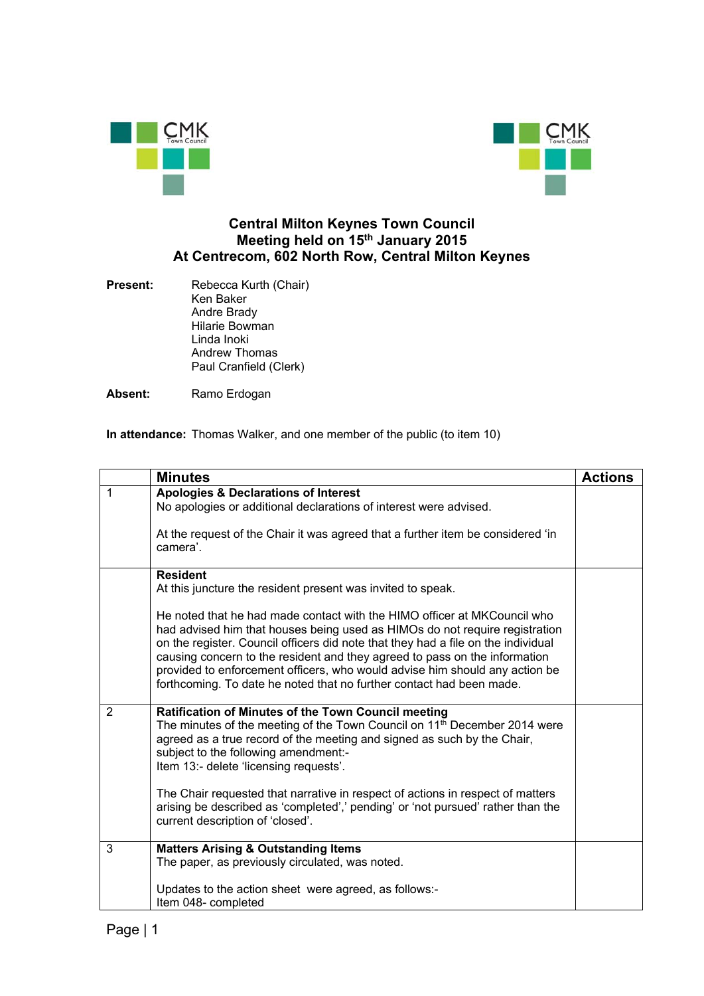



## **Central Milton Keynes Town Council Meeting held on 15th January 2015 At Centrecom, 602 North Row, Central Milton Keynes**

**Present:** Rebecca Kurth (Chair) Ken Baker Andre Brady Hilarie Bowman Linda Inoki Andrew Thomas Paul Cranfield (Clerk)

Absent: Ramo Erdogan

**In attendance:** Thomas Walker, and one member of the public (to item 10)

|              | <b>Minutes</b>                                                                                                                                                                                                                                                                                                                                                                                                                                                                                                                                                      | <b>Actions</b> |
|--------------|---------------------------------------------------------------------------------------------------------------------------------------------------------------------------------------------------------------------------------------------------------------------------------------------------------------------------------------------------------------------------------------------------------------------------------------------------------------------------------------------------------------------------------------------------------------------|----------------|
| $\mathbf{1}$ | <b>Apologies &amp; Declarations of Interest</b><br>No apologies or additional declarations of interest were advised.<br>At the request of the Chair it was agreed that a further item be considered 'in<br>camera'.                                                                                                                                                                                                                                                                                                                                                 |                |
|              | <b>Resident</b><br>At this juncture the resident present was invited to speak.<br>He noted that he had made contact with the HIMO officer at MKCouncil who<br>had advised him that houses being used as HIMOs do not require registration<br>on the register. Council officers did note that they had a file on the individual<br>causing concern to the resident and they agreed to pass on the information<br>provided to enforcement officers, who would advise him should any action be<br>forthcoming. To date he noted that no further contact had been made. |                |
| 2            | Ratification of Minutes of the Town Council meeting<br>The minutes of the meeting of the Town Council on $11th$ December 2014 were<br>agreed as a true record of the meeting and signed as such by the Chair,<br>subject to the following amendment:-<br>Item 13:- delete 'licensing requests'.<br>The Chair requested that narrative in respect of actions in respect of matters<br>arising be described as 'completed',' pending' or 'not pursued' rather than the<br>current description of 'closed'.                                                            |                |
| 3            | <b>Matters Arising &amp; Outstanding Items</b><br>The paper, as previously circulated, was noted.<br>Updates to the action sheet were agreed, as follows:-<br>Item 048- completed                                                                                                                                                                                                                                                                                                                                                                                   |                |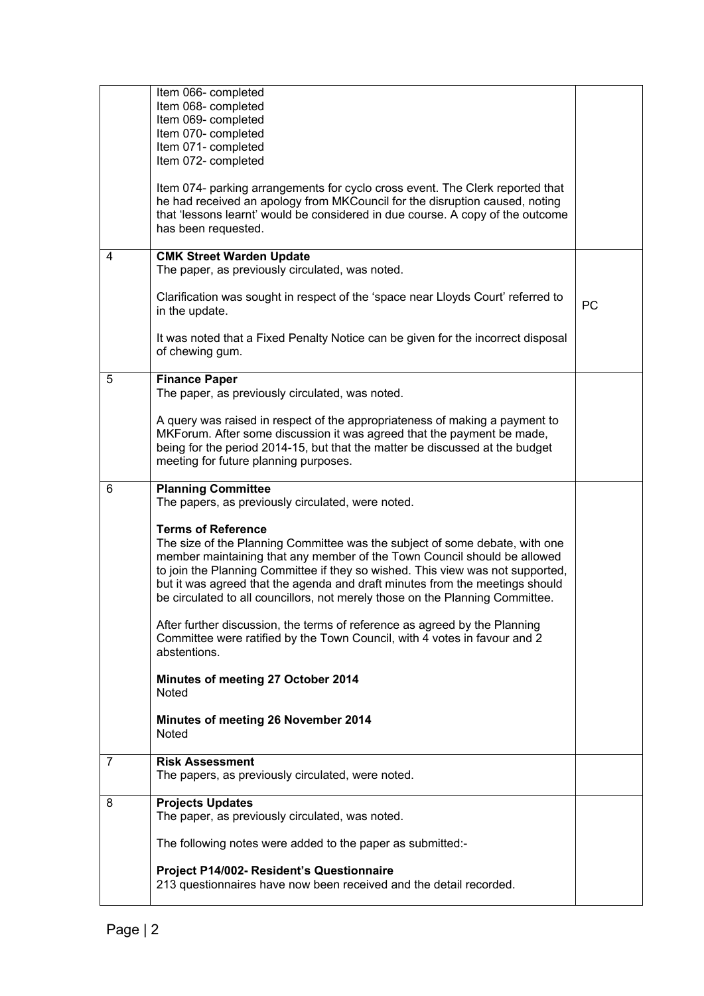|   | Item 066- completed<br>Item 068- completed<br>Item 069- completed<br>Item 070- completed<br>Item 071- completed<br>Item 072- completed<br>Item 074- parking arrangements for cyclo cross event. The Clerk reported that<br>he had received an apology from MKCouncil for the disruption caused, noting<br>that 'lessons learnt' would be considered in due course. A copy of the outcome<br>has been requested.                         |           |
|---|-----------------------------------------------------------------------------------------------------------------------------------------------------------------------------------------------------------------------------------------------------------------------------------------------------------------------------------------------------------------------------------------------------------------------------------------|-----------|
| 4 | <b>CMK Street Warden Update</b><br>The paper, as previously circulated, was noted.                                                                                                                                                                                                                                                                                                                                                      |           |
|   | Clarification was sought in respect of the 'space near Lloyds Court' referred to<br>in the update.                                                                                                                                                                                                                                                                                                                                      | <b>PC</b> |
|   | It was noted that a Fixed Penalty Notice can be given for the incorrect disposal<br>of chewing gum.                                                                                                                                                                                                                                                                                                                                     |           |
| 5 | <b>Finance Paper</b><br>The paper, as previously circulated, was noted.                                                                                                                                                                                                                                                                                                                                                                 |           |
|   | A query was raised in respect of the appropriateness of making a payment to<br>MKForum. After some discussion it was agreed that the payment be made,<br>being for the period 2014-15, but that the matter be discussed at the budget<br>meeting for future planning purposes.                                                                                                                                                          |           |
| 6 | <b>Planning Committee</b><br>The papers, as previously circulated, were noted.                                                                                                                                                                                                                                                                                                                                                          |           |
|   | <b>Terms of Reference</b><br>The size of the Planning Committee was the subject of some debate, with one<br>member maintaining that any member of the Town Council should be allowed<br>to join the Planning Committee if they so wished. This view was not supported,<br>but it was agreed that the agenda and draft minutes from the meetings should<br>be circulated to all councillors, not merely those on the Planning Committee. |           |
|   | After further discussion, the terms of reference as agreed by the Planning<br>Committee were ratified by the Town Council, with 4 votes in favour and 2<br>abstentions.                                                                                                                                                                                                                                                                 |           |
|   | Minutes of meeting 27 October 2014<br>Noted                                                                                                                                                                                                                                                                                                                                                                                             |           |
|   | Minutes of meeting 26 November 2014<br>Noted                                                                                                                                                                                                                                                                                                                                                                                            |           |
| 7 | <b>Risk Assessment</b><br>The papers, as previously circulated, were noted.                                                                                                                                                                                                                                                                                                                                                             |           |
| 8 | <b>Projects Updates</b><br>The paper, as previously circulated, was noted.                                                                                                                                                                                                                                                                                                                                                              |           |
|   | The following notes were added to the paper as submitted:-                                                                                                                                                                                                                                                                                                                                                                              |           |
|   | Project P14/002- Resident's Questionnaire<br>213 questionnaires have now been received and the detail recorded.                                                                                                                                                                                                                                                                                                                         |           |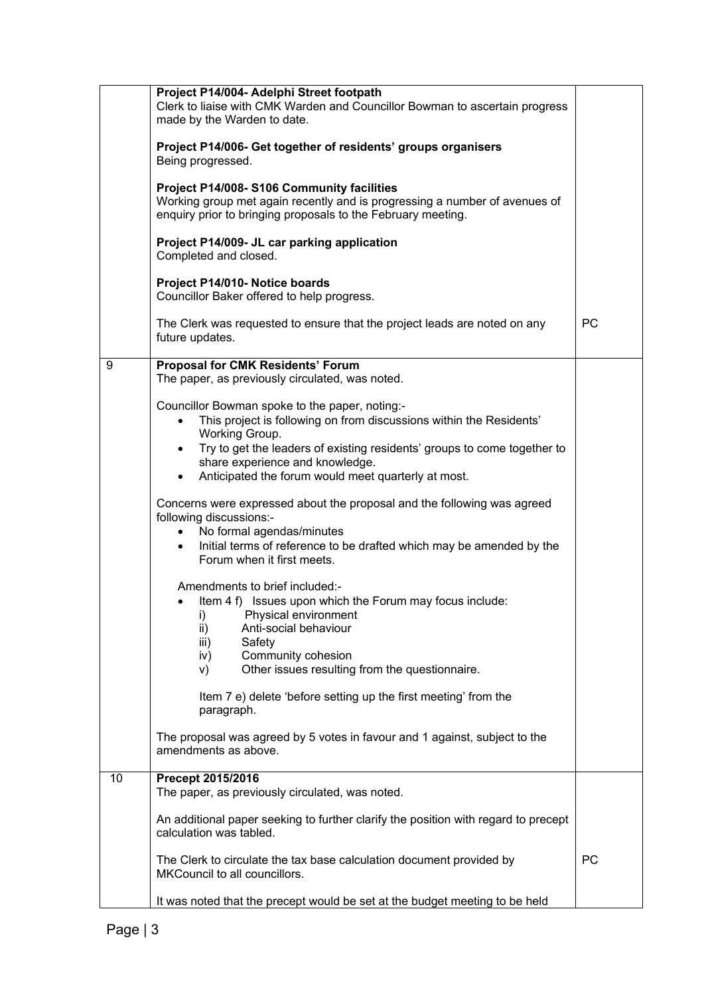|    | Project P14/004- Adelphi Street footpath<br>Clerk to liaise with CMK Warden and Councillor Bowman to ascertain progress<br>made by the Warden to date.                                                                                                       |           |
|----|--------------------------------------------------------------------------------------------------------------------------------------------------------------------------------------------------------------------------------------------------------------|-----------|
|    | Project P14/006- Get together of residents' groups organisers<br>Being progressed.                                                                                                                                                                           |           |
|    | Project P14/008- S106 Community facilities<br>Working group met again recently and is progressing a number of avenues of<br>enquiry prior to bringing proposals to the February meeting.                                                                     |           |
|    | Project P14/009- JL car parking application<br>Completed and closed.                                                                                                                                                                                         |           |
|    | Project P14/010- Notice boards<br>Councillor Baker offered to help progress.                                                                                                                                                                                 |           |
|    | The Clerk was requested to ensure that the project leads are noted on any<br>future updates.                                                                                                                                                                 | PC        |
| 9  | <b>Proposal for CMK Residents' Forum</b><br>The paper, as previously circulated, was noted.                                                                                                                                                                  |           |
|    | Councillor Bowman spoke to the paper, noting:-<br>This project is following on from discussions within the Residents'<br>Working Group.                                                                                                                      |           |
|    | Try to get the leaders of existing residents' groups to come together to<br>$\bullet$<br>share experience and knowledge.<br>Anticipated the forum would meet quarterly at most.<br>$\bullet$                                                                 |           |
|    | Concerns were expressed about the proposal and the following was agreed<br>following discussions:-<br>• No formal agendas/minutes<br>Initial terms of reference to be drafted which may be amended by the<br>$\bullet$<br>Forum when it first meets.         |           |
|    | Amendments to brief included:-<br>Item 4 f) Issues upon which the Forum may focus include:<br>i) Physical environment<br>Anti-social behaviour<br>ii)<br>iii)<br>Safety<br>Community cohesion<br>iv)<br>Other issues resulting from the questionnaire.<br>V) |           |
|    | Item 7 e) delete 'before setting up the first meeting' from the<br>paragraph.                                                                                                                                                                                |           |
|    | The proposal was agreed by 5 votes in favour and 1 against, subject to the<br>amendments as above.                                                                                                                                                           |           |
| 10 | Precept 2015/2016<br>The paper, as previously circulated, was noted.                                                                                                                                                                                         |           |
|    | An additional paper seeking to further clarify the position with regard to precept<br>calculation was tabled.                                                                                                                                                |           |
|    | The Clerk to circulate the tax base calculation document provided by<br>MKCouncil to all councillors.                                                                                                                                                        | <b>PC</b> |
|    | It was noted that the precept would be set at the budget meeting to be held                                                                                                                                                                                  |           |